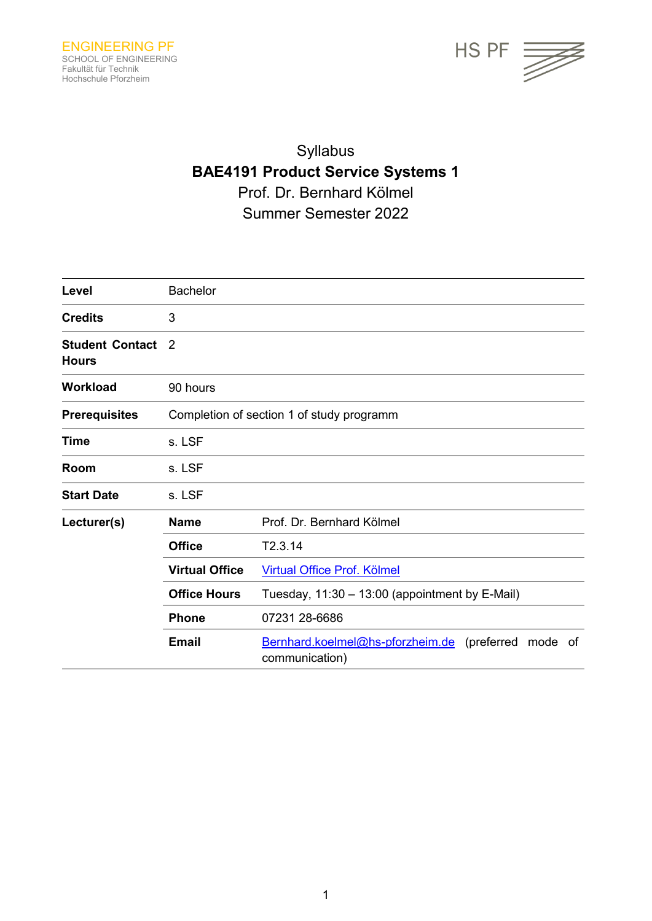

# Syllabus **BAE4191 Product Service Systems 1** Prof. Dr. Bernhard Kölmel Summer Semester 2022

| Level                                  | <b>Bachelor</b>                           |                                                                             |  |
|----------------------------------------|-------------------------------------------|-----------------------------------------------------------------------------|--|
| <b>Credits</b>                         | 3                                         |                                                                             |  |
| <b>Student Contact</b><br><b>Hours</b> | 2                                         |                                                                             |  |
| <b>Workload</b>                        | 90 hours                                  |                                                                             |  |
| <b>Prerequisites</b>                   | Completion of section 1 of study programm |                                                                             |  |
| <b>Time</b>                            | s. LSF                                    |                                                                             |  |
| Room                                   | s. LSF                                    |                                                                             |  |
| <b>Start Date</b>                      | s. LSF                                    |                                                                             |  |
| Lecturer(s)                            | <b>Name</b>                               | Prof. Dr. Bernhard Kölmel                                                   |  |
|                                        | <b>Office</b>                             | T2.3.14                                                                     |  |
|                                        | <b>Virtual Office</b>                     | Virtual Office Prof. Kölmel                                                 |  |
|                                        | <b>Office Hours</b>                       | Tuesday, 11:30 - 13:00 (appointment by E-Mail)                              |  |
|                                        | <b>Phone</b>                              | 07231 28-6686                                                               |  |
|                                        | <b>Email</b>                              | Bernhard.koelmel@hs-pforzheim.de (preferred<br>mode<br>of<br>communication) |  |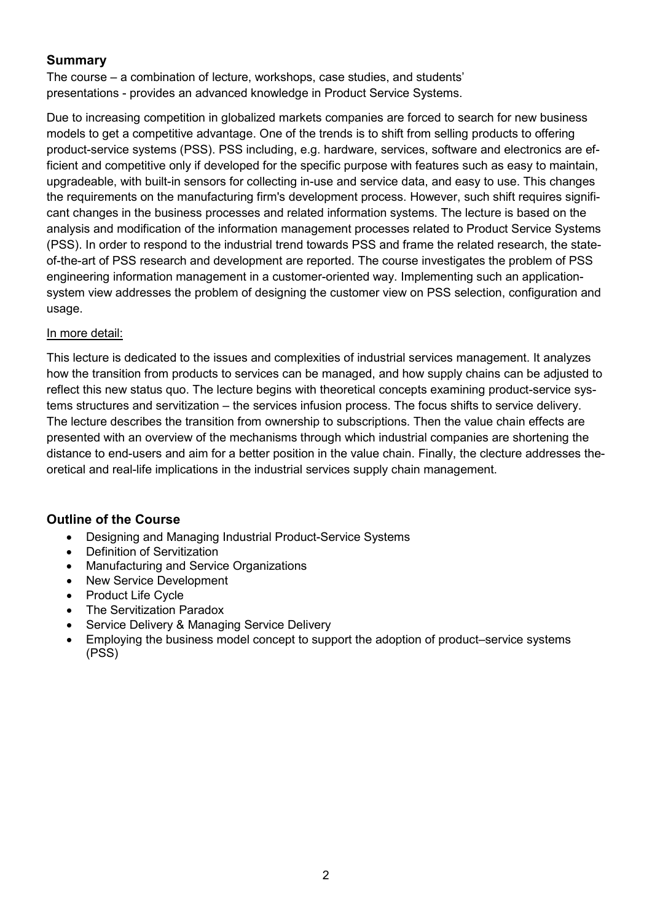## **Summary**

The course – a combination of lecture, workshops, case studies, and students' presentations - provides an advanced knowledge in Product Service Systems.

Due to increasing competition in globalized markets companies are forced to search for new business models to get a competitive advantage. One of the trends is to shift from selling products to offering product-service systems (PSS). PSS including, e.g. hardware, services, software and electronics are efficient and competitive only if developed for the specific purpose with features such as easy to maintain, upgradeable, with built-in sensors for collecting in-use and service data, and easy to use. This changes the requirements on the manufacturing firm's development process. However, such shift requires significant changes in the business processes and related information systems. The lecture is based on the analysis and modification of the information management processes related to Product Service Systems (PSS). In order to respond to the industrial trend towards PSS and frame the related research, the stateof-the-art of PSS research and development are reported. The course investigates the problem of PSS engineering information management in a customer-oriented way. Implementing such an applicationsystem view addresses the problem of designing the customer view on PSS selection, configuration and usage.

#### In more detail:

This lecture is dedicated to the issues and complexities of industrial services management. It analyzes how the transition from products to services can be managed, and how supply chains can be adjusted to reflect this new status quo. The lecture begins with theoretical concepts examining product-service systems structures and servitization – the services infusion process. The focus shifts to service delivery. The lecture describes the transition from ownership to subscriptions. Then the value chain effects are presented with an overview of the mechanisms through which industrial companies are shortening the distance to end-users and aim for a better position in the value chain. Finally, the clecture addresses theoretical and real-life implications in the industrial services supply chain management.

## **Outline of the Course**

- Designing and Managing Industrial Product-Service Systems
- Definition of Servitization
- Manufacturing and Service Organizations
- New Service Development
- Product Life Cycle
- The Servitization Paradox
- Service Delivery & Managing Service Delivery
- Employing the business model concept to support the adoption of product–service systems (PSS)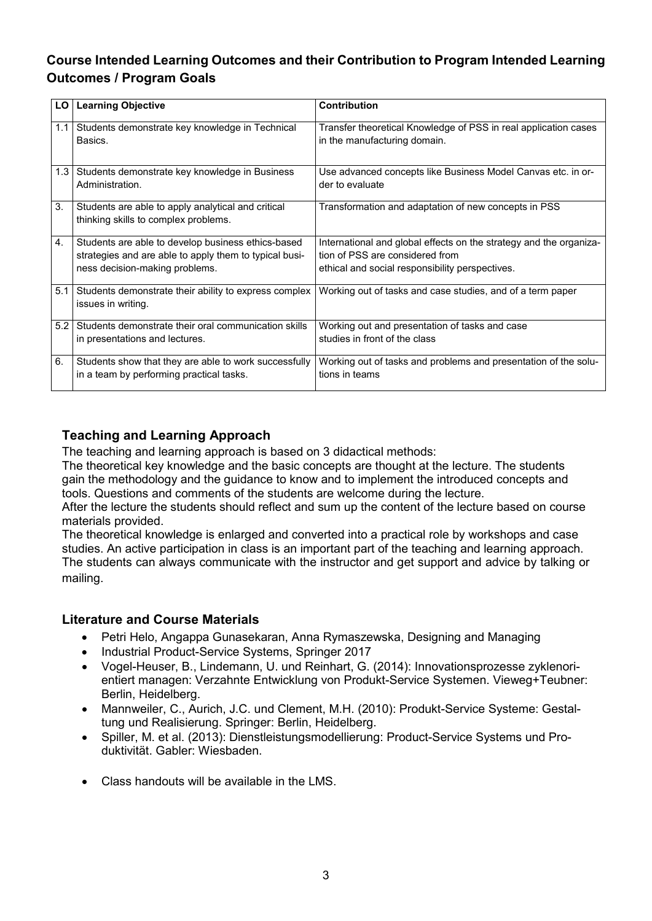# **Course Intended Learning Outcomes and their Contribution to Program Intended Learning Outcomes / Program Goals**

| LO         | <b>Learning Objective</b>                                                                                                                      | <b>Contribution</b>                                                                                                                                      |
|------------|------------------------------------------------------------------------------------------------------------------------------------------------|----------------------------------------------------------------------------------------------------------------------------------------------------------|
| 1.1        | Students demonstrate key knowledge in Technical<br>Basics.                                                                                     | Transfer theoretical Knowledge of PSS in real application cases<br>in the manufacturing domain.                                                          |
| $1.3 \mid$ | Students demonstrate key knowledge in Business<br>Administration.                                                                              | Use advanced concepts like Business Model Canvas etc. in or-<br>der to evaluate                                                                          |
| 3.         | Students are able to apply analytical and critical<br>thinking skills to complex problems.                                                     | Transformation and adaptation of new concepts in PSS                                                                                                     |
| 4.         | Students are able to develop business ethics-based<br>strategies and are able to apply them to typical busi-<br>ness decision-making problems. | International and global effects on the strategy and the organiza-<br>tion of PSS are considered from<br>ethical and social responsibility perspectives. |
| 5.1        | Students demonstrate their ability to express complex<br>issues in writing.                                                                    | Working out of tasks and case studies, and of a term paper                                                                                               |
| 5.2        | Students demonstrate their oral communication skills<br>in presentations and lectures.                                                         | Working out and presentation of tasks and case<br>studies in front of the class                                                                          |
| 6.         | Students show that they are able to work successfully<br>in a team by performing practical tasks.                                              | Working out of tasks and problems and presentation of the solu-<br>tions in teams                                                                        |

# **Teaching and Learning Approach**

The teaching and learning approach is based on 3 didactical methods:

The theoretical key knowledge and the basic concepts are thought at the lecture. The students gain the methodology and the guidance to know and to implement the introduced concepts and tools. Questions and comments of the students are welcome during the lecture.

After the lecture the students should reflect and sum up the content of the lecture based on course materials provided.

The theoretical knowledge is enlarged and converted into a practical role by workshops and case studies. An active participation in class is an important part of the teaching and learning approach. The students can always communicate with the instructor and get support and advice by talking or mailing.

#### **Literature and Course Materials**

- Petri Helo, Angappa Gunasekaran, Anna Rymaszewska, Designing and Managing
- Industrial Product-Service Systems, Springer 2017
- Vogel-Heuser, B., Lindemann, U. und Reinhart, G. (2014): Innovationsprozesse zyklenorientiert managen: Verzahnte Entwicklung von Produkt-Service Systemen. Vieweg+Teubner: Berlin, Heidelberg.
- Mannweiler, C., Aurich, J.C. und Clement, M.H. (2010): Produkt-Service Systeme: Gestaltung und Realisierung. Springer: Berlin, Heidelberg.
- Spiller, M. et al. (2013): Dienstleistungsmodellierung: Product-Service Systems und Produktivität. Gabler: Wiesbaden.
- Class handouts will be available in the LMS.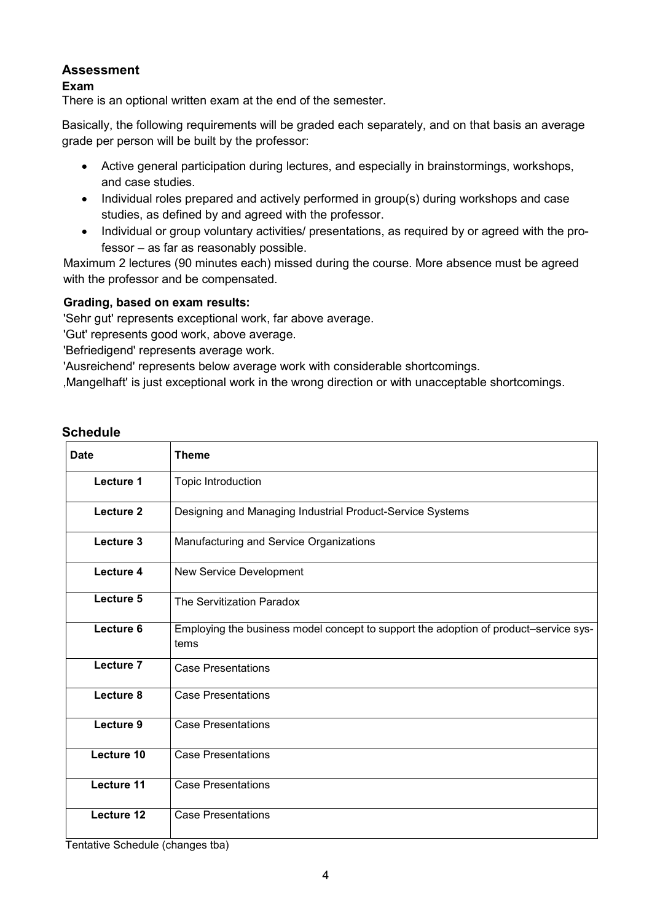## **Assessment**

#### **Exam**

There is an optional written exam at the end of the semester.

Basically, the following requirements will be graded each separately, and on that basis an average grade per person will be built by the professor:

- Active general participation during lectures, and especially in brainstormings, workshops, and case studies.
- Individual roles prepared and actively performed in group(s) during workshops and case studies, as defined by and agreed with the professor.
- Individual or group voluntary activities/ presentations, as required by or agreed with the professor – as far as reasonably possible.

Maximum 2 lectures (90 minutes each) missed during the course. More absence must be agreed with the professor and be compensated.

#### **Grading, based on exam results:**

'Sehr gut' represents exceptional work, far above average.

'Gut' represents good work, above average.

'Befriedigend' represents average work.

'Ausreichend' represents below average work with considerable shortcomings.

'Mangelhaft' is just exceptional work in the wrong direction or with unacceptable shortcomings.

| <b>Date</b> | <b>Theme</b>                                                                                 |
|-------------|----------------------------------------------------------------------------------------------|
| Lecture 1   | Topic Introduction                                                                           |
| Lecture 2   | Designing and Managing Industrial Product-Service Systems                                    |
| Lecture 3   | Manufacturing and Service Organizations                                                      |
| Lecture 4   | New Service Development                                                                      |
| Lecture 5   | The Servitization Paradox                                                                    |
| Lecture 6   | Employing the business model concept to support the adoption of product-service sys-<br>tems |
| Lecture 7   | <b>Case Presentations</b>                                                                    |
| Lecture 8   | <b>Case Presentations</b>                                                                    |
| Lecture 9   | <b>Case Presentations</b>                                                                    |
| Lecture 10  | <b>Case Presentations</b>                                                                    |
| Lecture 11  | <b>Case Presentations</b>                                                                    |
| Lecture 12  | <b>Case Presentations</b>                                                                    |

## **Schedule**

Tentative Schedule (changes tba)